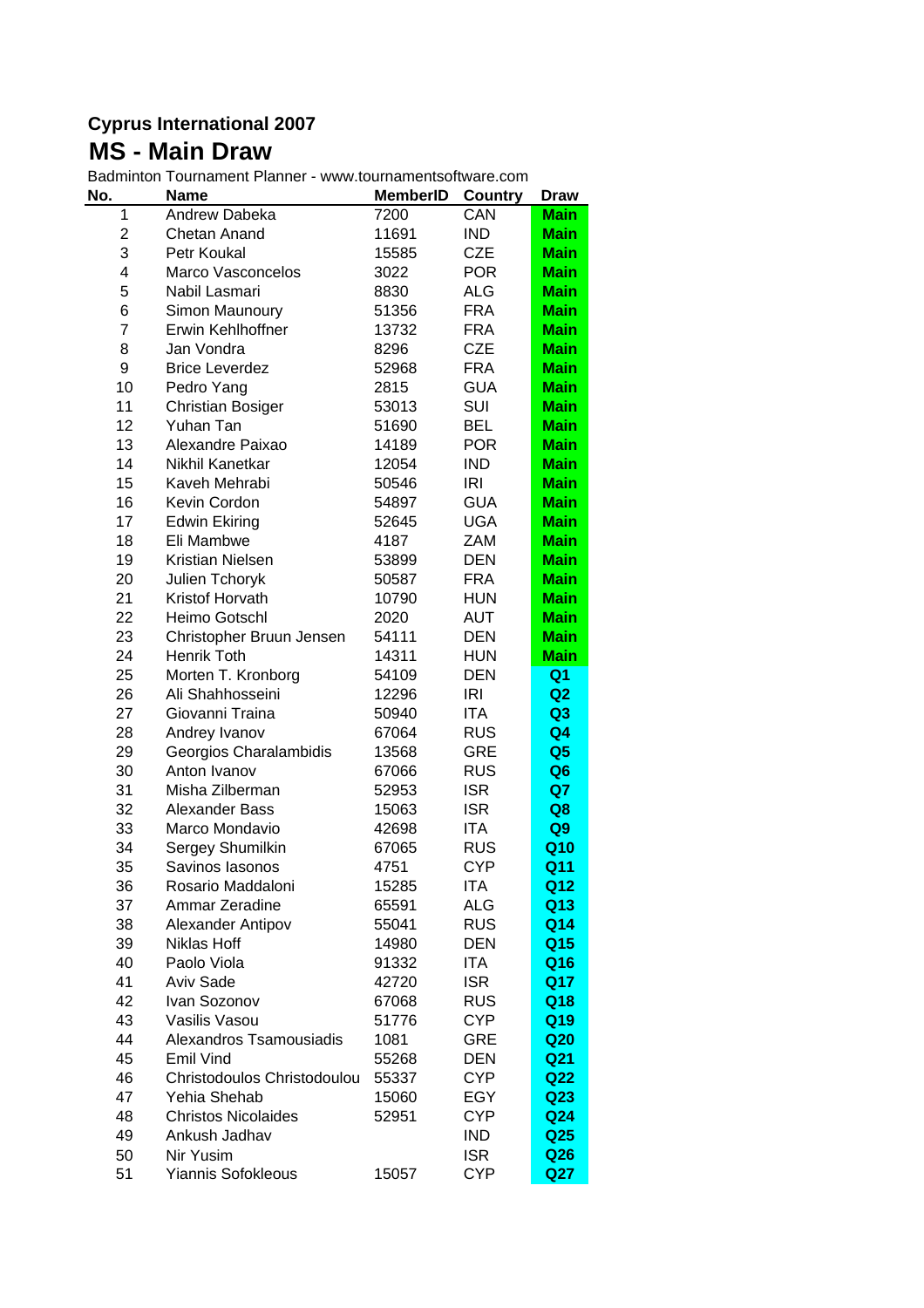## **Cyprus International 2007 MS - Main Draw**

Badminton Tournament Planner - www.tournamentsoftware.com

| No.            | <b>Name</b>                 | <b>MemberID</b> | Country    | <b>Draw</b>     |
|----------------|-----------------------------|-----------------|------------|-----------------|
| 1              | Andrew Dabeka               | 7200            | CAN        | <b>Main</b>     |
| $\overline{c}$ | Chetan Anand                | 11691           | <b>IND</b> | <b>Main</b>     |
| 3              | Petr Koukal                 | 15585           | <b>CZE</b> | <b>Main</b>     |
| 4              | Marco Vasconcelos           | 3022            | <b>POR</b> | <b>Main</b>     |
| 5              | Nabil Lasmari               | 8830            | <b>ALG</b> | <b>Main</b>     |
| 6              | Simon Maunoury              | 51356           | <b>FRA</b> | <b>Main</b>     |
| $\overline{7}$ | Erwin Kehlhoffner           | 13732           | <b>FRA</b> | <b>Main</b>     |
| 8              | Jan Vondra                  | 8296            | <b>CZE</b> | <b>Main</b>     |
| 9              | <b>Brice Leverdez</b>       | 52968           | <b>FRA</b> | <b>Main</b>     |
| 10             | Pedro Yang                  | 2815            | <b>GUA</b> | <b>Main</b>     |
| 11             | <b>Christian Bosiger</b>    | 53013           | SUI        | <b>Main</b>     |
| 12             | Yuhan Tan                   | 51690           | <b>BEL</b> | <b>Main</b>     |
| 13             | Alexandre Paixao            | 14189           | <b>POR</b> | <b>Main</b>     |
| 14             | Nikhil Kanetkar             | 12054           | <b>IND</b> | <b>Main</b>     |
| 15             | Kaveh Mehrabi               | 50546           | <b>IRI</b> | <b>Main</b>     |
| 16             | Kevin Cordon                | 54897           | <b>GUA</b> | <b>Main</b>     |
| 17             | <b>Edwin Ekiring</b>        | 52645           | <b>UGA</b> | <b>Main</b>     |
| 18             | Eli Mambwe                  | 4187            | ZAM        | <b>Main</b>     |
| 19             | <b>Kristian Nielsen</b>     | 53899           | <b>DEN</b> | <b>Main</b>     |
| 20             | Julien Tchoryk              | 50587           | <b>FRA</b> | <b>Main</b>     |
| 21             | Kristof Horvath             | 10790           | <b>HUN</b> | <b>Main</b>     |
| 22             | Heimo Gotschl               | 2020            | AUT        | <b>Main</b>     |
| 23             | Christopher Bruun Jensen    | 54111           | <b>DEN</b> | <b>Main</b>     |
| 24             | Henrik Toth                 | 14311           | <b>HUN</b> | <b>Main</b>     |
| 25             | Morten T. Kronborg          | 54109           | <b>DEN</b> | Q <sub>1</sub>  |
| 26             | Ali Shahhosseini            | 12296           | <b>IRI</b> | Q2              |
| 27             | Giovanni Traina             | 50940           | ITA        | Q <sub>3</sub>  |
| 28             | Andrey Ivanov               | 67064           | <b>RUS</b> | Q <sub>4</sub>  |
| 29             | Georgios Charalambidis      | 13568           | <b>GRE</b> | Q <sub>5</sub>  |
| 30             | Anton Ivanov                | 67066           | <b>RUS</b> | Q <sub>6</sub>  |
| 31             | Misha Zilberman             | 52953           | <b>ISR</b> | Q7              |
| 32             | Alexander Bass              | 15063           | <b>ISR</b> | Q8              |
| 33             | Marco Mondavio              | 42698           | <b>ITA</b> | Q9              |
| 34             | Sergey Shumilkin            | 67065           | <b>RUS</b> | Q10             |
| 35             | Savinos Iasonos             | 4751            | <b>CYP</b> | Q11             |
| 36             | Rosario Maddaloni           | 15285           | ITA        | Q12             |
| 37             | Ammar Zeradine              | 65591           | ALG        | Q13             |
| 38             | Alexander Antipov           | 55041           | <b>RUS</b> | Q14             |
| 39             | Niklas Hoff                 | 14980           | <b>DEN</b> | Q15             |
| 40             | Paolo Viola                 | 91332           | ITA        | Q16             |
| 41             | <b>Aviv Sade</b>            | 42720           | <b>ISR</b> | Q17             |
| 42             | Ivan Sozonov                | 67068           | <b>RUS</b> | Q18             |
| 43             | Vasilis Vasou               | 51776           | <b>CYP</b> | Q19             |
| 44             | Alexandros Tsamousiadis     | 1081            | GRE        | Q <sub>20</sub> |
| 45             | Emil Vind                   | 55268           | <b>DEN</b> | Q <sub>21</sub> |
| 46             | Christodoulos Christodoulou | 55337           | <b>CYP</b> | Q <sub>22</sub> |
| 47             | Yehia Shehab                | 15060           | EGY        | Q <sub>23</sub> |
| 48             | <b>Christos Nicolaides</b>  | 52951           | <b>CYP</b> | Q <sub>24</sub> |
| 49             | Ankush Jadhav               |                 | <b>IND</b> | Q <sub>25</sub> |
| 50             | Nir Yusim                   |                 | <b>ISR</b> | Q26             |
| 51             | <b>Yiannis Sofokleous</b>   | 15057           | <b>CYP</b> | Q27             |